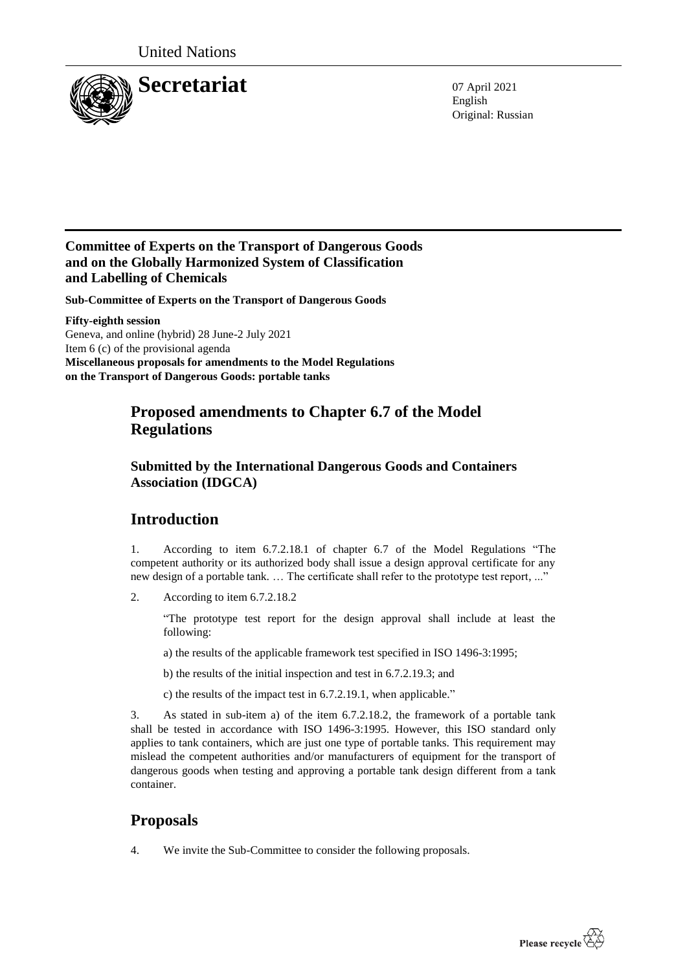

English Original: Russian

### **Committee of Experts on the Transport of Dangerous Goods and on the Globally Harmonized System of Classification and Labelling of Chemicals**

**Sub-Committee of Experts on the Transport of Dangerous Goods**

**Fifty-eighth session** Geneva, and online (hybrid) 28 June-2 July 2021 Item 6 (c) of the provisional agenda **Miscellaneous proposals for amendments to the Model Regulations on the Transport of Dangerous Goods: portable tanks**

## **Proposed amendments to Chapter 6.7 of the Model Regulations**

### **Submitted by the International Dangerous Goods and Containers Association (IDGCA)**

# **Introduction**

1. According to item 6.7.2.18.1 of chapter 6.7 of the Model Regulations "The competent authority or its authorized body shall issue a design approval certificate for any new design of a portable tank. … The certificate shall refer to the prototype test report, ..."

2. According to item 6.7.2.18.2

"The prototype test report for the design approval shall include at least the following:

a) the results of the applicable framework test specified in ISO 1496-3:1995;

b) the results of the initial inspection and test in 6.7.2.19.3; and

c) the results of the impact test in 6.7.2.19.1, when applicable."

3. As stated in sub-item a) of the item 6.7.2.18.2, the framework of a portable tank shall be tested in accordance with ISO 1496-3:1995. However, this ISO standard only applies to tank containers, which are just one type of portable tanks. This requirement may mislead the competent authorities and/or manufacturers of equipment for the transport of dangerous goods when testing and approving a portable tank design different from a tank container.

# **Proposals**

4. We invite the Sub-Committee to consider the following proposals.